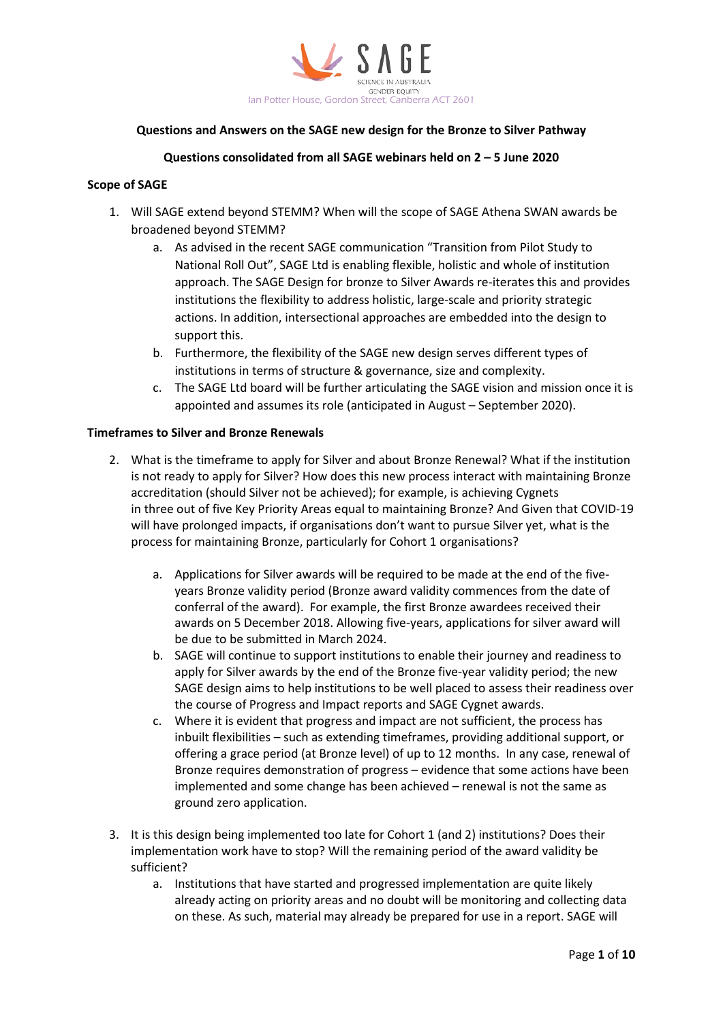

## **Questions and Answers on the SAGE new design for the Bronze to Silver Pathway**

# **Questions consolidated from all SAGE webinars held on 2 – 5 June 2020**

## **Scope of SAGE**

- 1. Will SAGE extend beyond STEMM? When will the scope of SAGE Athena SWAN awards be broadened beyond STEMM?
	- a. As advised in the recent SAGE communication "Transition from Pilot Study to National Roll Out", SAGE Ltd is enabling flexible, holistic and whole of institution approach. The SAGE Design for bronze to Silver Awards re-iterates this and provides institutions the flexibility to address holistic, large-scale and priority strategic actions. In addition, intersectional approaches are embedded into the design to support this.
	- b. Furthermore, the flexibility of the SAGE new design serves different types of institutions in terms of structure & governance, size and complexity.
	- c. The SAGE Ltd board will be further articulating the SAGE vision and mission once it is appointed and assumes its role (anticipated in August – September 2020).

#### **Timeframes to Silver and Bronze Renewals**

- 2. What is the timeframe to apply for Silver and about Bronze Renewal? What if the institution is not ready to apply for Silver? How does this new process interact with maintaining Bronze accreditation (should Silver not be achieved); for example, is achieving Cygnets in three out of five Key Priority Areas equal to maintaining Bronze? And Given that COVID-19 will have prolonged impacts, if organisations don't want to pursue Silver yet, what is the process for maintaining Bronze, particularly for Cohort 1 organisations?
	- a. Applications for Silver awards will be required to be made at the end of the fiveyears Bronze validity period (Bronze award validity commences from the date of conferral of the award). For example, the first Bronze awardees received their awards on 5 December 2018. Allowing five-years, applications for silver award will be due to be submitted in March 2024.
	- b. SAGE will continue to support institutions to enable their journey and readiness to apply for Silver awards by the end of the Bronze five-year validity period; the new SAGE design aims to help institutions to be well placed to assess their readiness over the course of Progress and Impact reports and SAGE Cygnet awards.
	- c. Where it is evident that progress and impact are not sufficient, the process has inbuilt flexibilities – such as extending timeframes, providing additional support, or offering a grace period (at Bronze level) of up to 12 months. In any case, renewal of Bronze requires demonstration of progress – evidence that some actions have been implemented and some change has been achieved – renewal is not the same as ground zero application.
- 3. It is this design being implemented too late for Cohort 1 (and 2) institutions? Does their implementation work have to stop? Will the remaining period of the award validity be sufficient?
	- a. Institutions that have started and progressed implementation are quite likely already acting on priority areas and no doubt will be monitoring and collecting data on these. As such, material may already be prepared for use in a report. SAGE will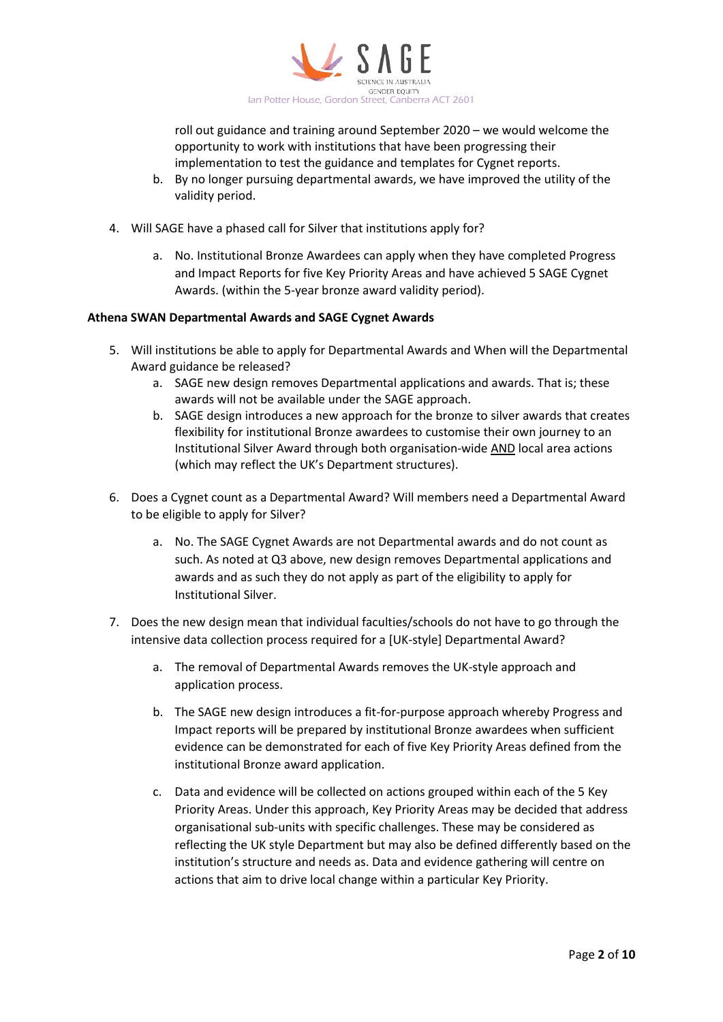

roll out guidance and training around September 2020 – we would welcome the opportunity to work with institutions that have been progressing their implementation to test the guidance and templates for Cygnet reports.

- b. By no longer pursuing departmental awards, we have improved the utility of the validity period.
- 4. Will SAGE have a phased call for Silver that institutions apply for?
	- a. No. Institutional Bronze Awardees can apply when they have completed Progress and Impact Reports for five Key Priority Areas and have achieved 5 SAGE Cygnet Awards. (within the 5-year bronze award validity period).

#### **Athena SWAN Departmental Awards and SAGE Cygnet Awards**

- 5. Will institutions be able to apply for Departmental Awards and When will the Departmental Award guidance be released?
	- a. SAGE new design removes Departmental applications and awards. That is; these awards will not be available under the SAGE approach.
	- b. SAGE design introduces a new approach for the bronze to silver awards that creates flexibility for institutional Bronze awardees to customise their own journey to an Institutional Silver Award through both organisation-wide AND local area actions (which may reflect the UK's Department structures).
- 6. Does a Cygnet count as a Departmental Award? Will members need a Departmental Award to be eligible to apply for Silver?
	- a. No. The SAGE Cygnet Awards are not Departmental awards and do not count as such. As noted at Q3 above, new design removes Departmental applications and awards and as such they do not apply as part of the eligibility to apply for Institutional Silver.
- 7. Does the new design mean that individual faculties/schools do not have to go through the intensive data collection process required for a [UK-style] Departmental Award?
	- a. The removal of Departmental Awards removes the UK-style approach and application process.
	- b. The SAGE new design introduces a fit-for-purpose approach whereby Progress and Impact reports will be prepared by institutional Bronze awardees when sufficient evidence can be demonstrated for each of five Key Priority Areas defined from the institutional Bronze award application.
	- c. Data and evidence will be collected on actions grouped within each of the 5 Key Priority Areas. Under this approach, Key Priority Areas may be decided that address organisational sub-units with specific challenges. These may be considered as reflecting the UK style Department but may also be defined differently based on the institution's structure and needs as. Data and evidence gathering will centre on actions that aim to drive local change within a particular Key Priority.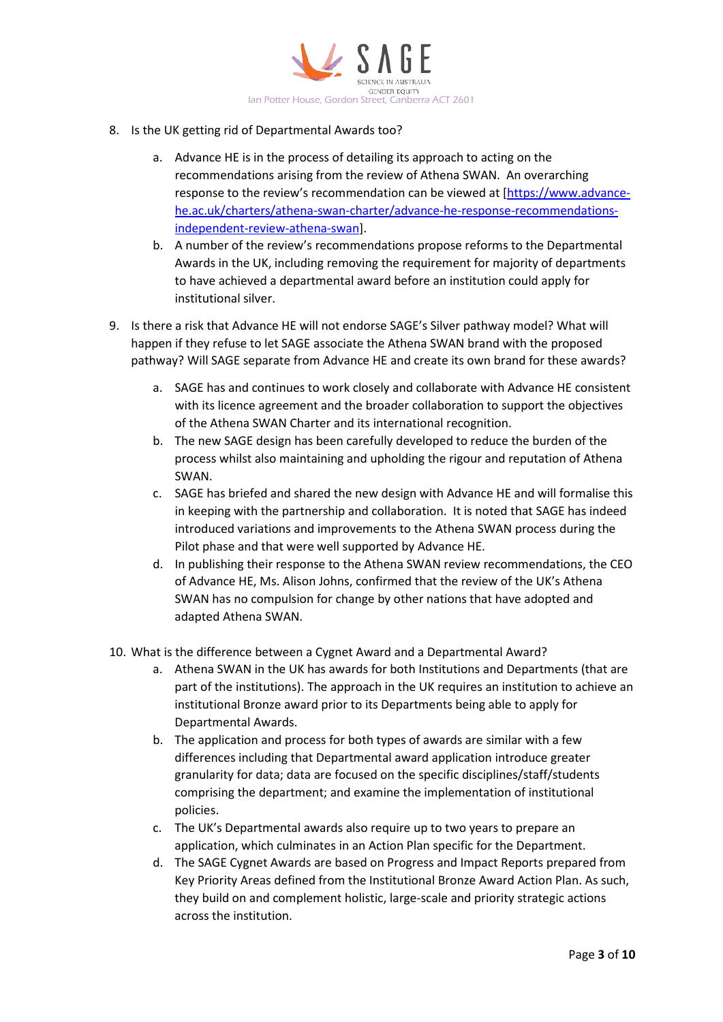

- 8. Is the UK getting rid of Departmental Awards too?
	- a. Advance HE is in the process of detailing its approach to acting on the recommendations arising from the review of Athena SWAN. An overarching response to the review's recommendation can be viewed at [\[https://www.advance](https://www.advance-he.ac.uk/charters/athena-swan-charter/advance-he-response-recommendations-independent-review-athena-swan)[he.ac.uk/charters/athena-swan-charter/advance-he-response-recommendations](https://www.advance-he.ac.uk/charters/athena-swan-charter/advance-he-response-recommendations-independent-review-athena-swan)[independent-review-athena-swan\]](https://www.advance-he.ac.uk/charters/athena-swan-charter/advance-he-response-recommendations-independent-review-athena-swan).
	- b. A number of the review's recommendations propose reforms to the Departmental Awards in the UK, including removing the requirement for majority of departments to have achieved a departmental award before an institution could apply for institutional silver.
- 9. Is there a risk that Advance HE will not endorse SAGE's Silver pathway model? What will happen if they refuse to let SAGE associate the Athena SWAN brand with the proposed pathway? Will SAGE separate from Advance HE and create its own brand for these awards?
	- a. SAGE has and continues to work closely and collaborate with Advance HE consistent with its licence agreement and the broader collaboration to support the objectives of the Athena SWAN Charter and its international recognition.
	- b. The new SAGE design has been carefully developed to reduce the burden of the process whilst also maintaining and upholding the rigour and reputation of Athena SWAN.
	- c. SAGE has briefed and shared the new design with Advance HE and will formalise this in keeping with the partnership and collaboration. It is noted that SAGE has indeed introduced variations and improvements to the Athena SWAN process during the Pilot phase and that were well supported by Advance HE.
	- d. In publishing their response to the Athena SWAN review recommendations, the CEO of Advance HE, Ms. Alison Johns, confirmed that the review of the UK's Athena SWAN has no compulsion for change by other nations that have adopted and adapted Athena SWAN.
- 10. What is the difference between a Cygnet Award and a Departmental Award?
	- a. Athena SWAN in the UK has awards for both Institutions and Departments (that are part of the institutions). The approach in the UK requires an institution to achieve an institutional Bronze award prior to its Departments being able to apply for Departmental Awards.
	- b. The application and process for both types of awards are similar with a few differences including that Departmental award application introduce greater granularity for data; data are focused on the specific disciplines/staff/students comprising the department; and examine the implementation of institutional policies.
	- c. The UK's Departmental awards also require up to two years to prepare an application, which culminates in an Action Plan specific for the Department.
	- d. The SAGE Cygnet Awards are based on Progress and Impact Reports prepared from Key Priority Areas defined from the Institutional Bronze Award Action Plan. As such, they build on and complement holistic, large-scale and priority strategic actions across the institution.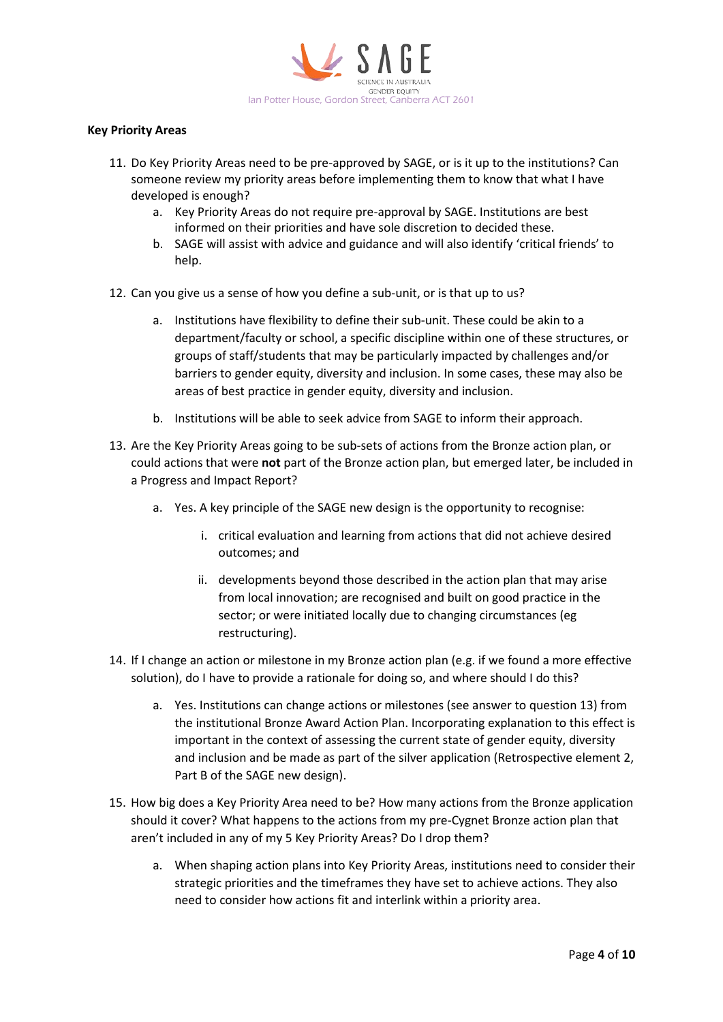

### **Key Priority Areas**

- 11. Do Key Priority Areas need to be pre-approved by SAGE, or is it up to the institutions? Can someone review my priority areas before implementing them to know that what I have developed is enough?
	- a. Key Priority Areas do not require pre-approval by SAGE. Institutions are best informed on their priorities and have sole discretion to decided these.
	- b. SAGE will assist with advice and guidance and will also identify 'critical friends' to help.
- 12. Can you give us a sense of how you define a sub-unit, or is that up to us?
	- a. Institutions have flexibility to define their sub-unit. These could be akin to a department/faculty or school, a specific discipline within one of these structures, or groups of staff/students that may be particularly impacted by challenges and/or barriers to gender equity, diversity and inclusion. In some cases, these may also be areas of best practice in gender equity, diversity and inclusion.
	- b. Institutions will be able to seek advice from SAGE to inform their approach.
- 13. Are the Key Priority Areas going to be sub-sets of actions from the Bronze action plan, or could actions that were **not** part of the Bronze action plan, but emerged later, be included in a Progress and Impact Report?
	- a. Yes. A key principle of the SAGE new design is the opportunity to recognise:
		- i. critical evaluation and learning from actions that did not achieve desired outcomes; and
		- ii. developments beyond those described in the action plan that may arise from local innovation; are recognised and built on good practice in the sector; or were initiated locally due to changing circumstances (eg restructuring).
- 14. If I change an action or milestone in my Bronze action plan (e.g. if we found a more effective solution), do I have to provide a rationale for doing so, and where should I do this?
	- a. Yes. Institutions can change actions or milestones (see answer to question 13) from the institutional Bronze Award Action Plan. Incorporating explanation to this effect is important in the context of assessing the current state of gender equity, diversity and inclusion and be made as part of the silver application (Retrospective element 2, Part B of the SAGE new design).
- 15. How big does a Key Priority Area need to be? How many actions from the Bronze application should it cover? What happens to the actions from my pre-Cygnet Bronze action plan that aren't included in any of my 5 Key Priority Areas? Do I drop them?
	- a. When shaping action plans into Key Priority Areas, institutions need to consider their strategic priorities and the timeframes they have set to achieve actions. They also need to consider how actions fit and interlink within a priority area.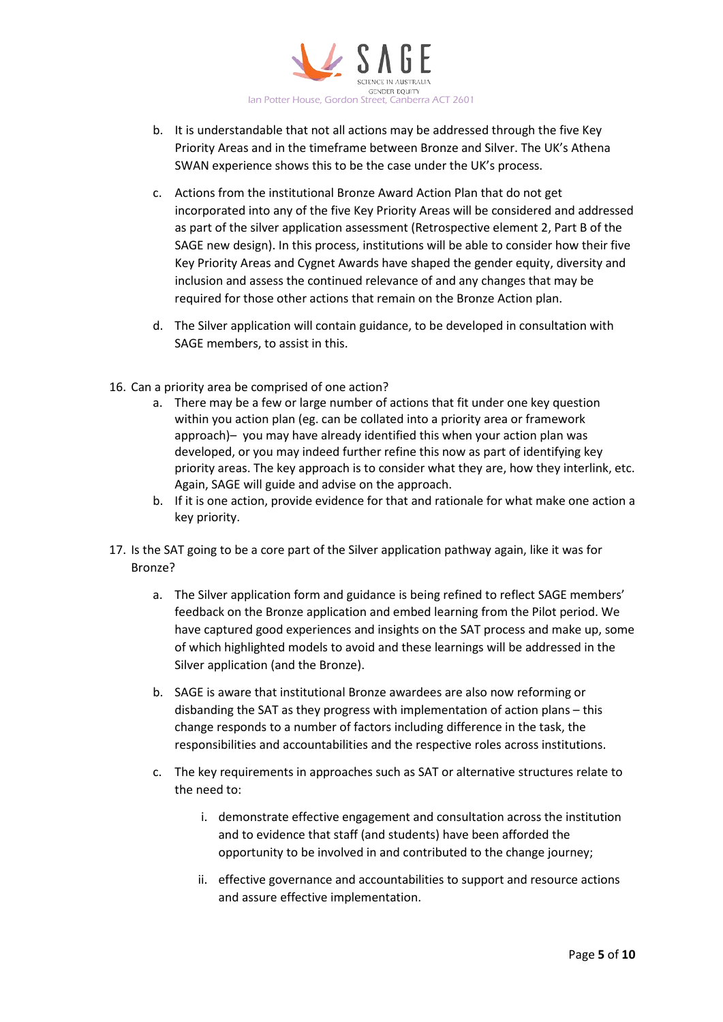

- b. It is understandable that not all actions may be addressed through the five Key Priority Areas and in the timeframe between Bronze and Silver. The UK's Athena SWAN experience shows this to be the case under the UK's process.
- c. Actions from the institutional Bronze Award Action Plan that do not get incorporated into any of the five Key Priority Areas will be considered and addressed as part of the silver application assessment (Retrospective element 2, Part B of the SAGE new design). In this process, institutions will be able to consider how their five Key Priority Areas and Cygnet Awards have shaped the gender equity, diversity and inclusion and assess the continued relevance of and any changes that may be required for those other actions that remain on the Bronze Action plan.
- d. The Silver application will contain guidance, to be developed in consultation with SAGE members, to assist in this.
- 16. Can a priority area be comprised of one action?
	- a. There may be a few or large number of actions that fit under one key question within you action plan (eg. can be collated into a priority area or framework approach)– you may have already identified this when your action plan was developed, or you may indeed further refine this now as part of identifying key priority areas. The key approach is to consider what they are, how they interlink, etc. Again, SAGE will guide and advise on the approach.
	- b. If it is one action, provide evidence for that and rationale for what make one action a key priority.
- 17. Is the SAT going to be a core part of the Silver application pathway again, like it was for Bronze?
	- a. The Silver application form and guidance is being refined to reflect SAGE members' feedback on the Bronze application and embed learning from the Pilot period. We have captured good experiences and insights on the SAT process and make up, some of which highlighted models to avoid and these learnings will be addressed in the Silver application (and the Bronze).
	- b. SAGE is aware that institutional Bronze awardees are also now reforming or disbanding the SAT as they progress with implementation of action plans – this change responds to a number of factors including difference in the task, the responsibilities and accountabilities and the respective roles across institutions.
	- c. The key requirements in approaches such as SAT or alternative structures relate to the need to:
		- i. demonstrate effective engagement and consultation across the institution and to evidence that staff (and students) have been afforded the opportunity to be involved in and contributed to the change journey;
		- ii. effective governance and accountabilities to support and resource actions and assure effective implementation.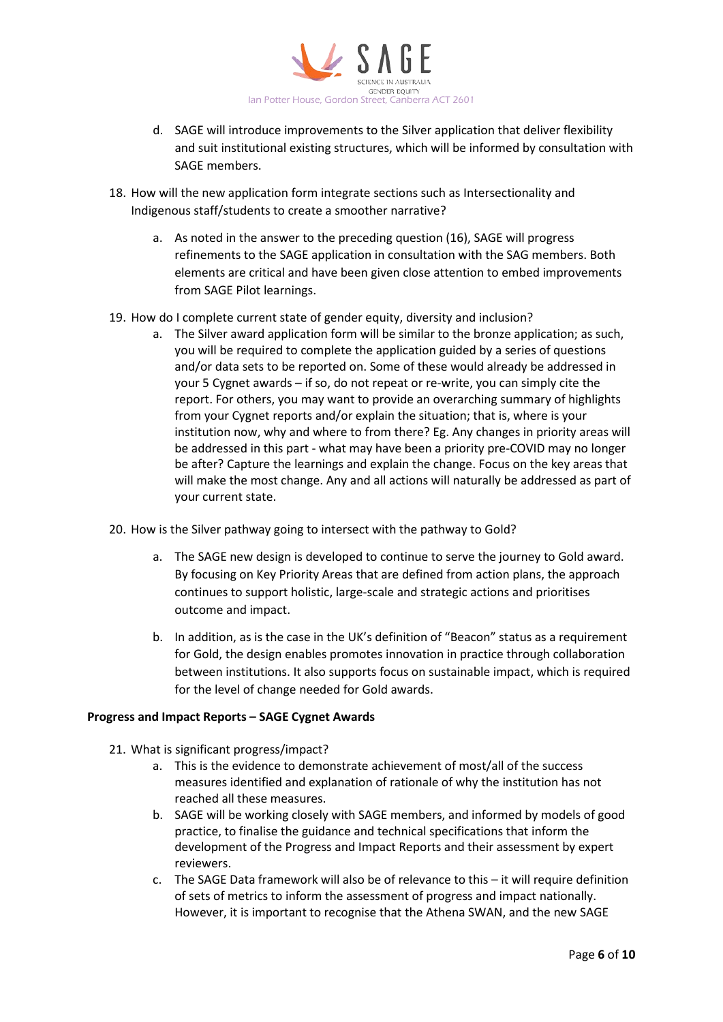

- d. SAGE will introduce improvements to the Silver application that deliver flexibility and suit institutional existing structures, which will be informed by consultation with SAGE members.
- 18. How will the new application form integrate sections such as Intersectionality and Indigenous staff/students to create a smoother narrative?
	- a. As noted in the answer to the preceding question (16), SAGE will progress refinements to the SAGE application in consultation with the SAG members. Both elements are critical and have been given close attention to embed improvements from SAGE Pilot learnings.
- 19. How do I complete current state of gender equity, diversity and inclusion?
	- a. The Silver award application form will be similar to the bronze application; as such, you will be required to complete the application guided by a series of questions and/or data sets to be reported on. Some of these would already be addressed in your 5 Cygnet awards – if so, do not repeat or re-write, you can simply cite the report. For others, you may want to provide an overarching summary of highlights from your Cygnet reports and/or explain the situation; that is, where is your institution now, why and where to from there? Eg. Any changes in priority areas will be addressed in this part - what may have been a priority pre-COVID may no longer be after? Capture the learnings and explain the change. Focus on the key areas that will make the most change. Any and all actions will naturally be addressed as part of your current state.
- 20. How is the Silver pathway going to intersect with the pathway to Gold?
	- a. The SAGE new design is developed to continue to serve the journey to Gold award. By focusing on Key Priority Areas that are defined from action plans, the approach continues to support holistic, large-scale and strategic actions and prioritises outcome and impact.
	- b. In addition, as is the case in the UK's definition of "Beacon" status as a requirement for Gold, the design enables promotes innovation in practice through collaboration between institutions. It also supports focus on sustainable impact, which is required for the level of change needed for Gold awards.

## **Progress and Impact Reports – SAGE Cygnet Awards**

- 21. What is significant progress/impact?
	- a. This is the evidence to demonstrate achievement of most/all of the success measures identified and explanation of rationale of why the institution has not reached all these measures.
	- b. SAGE will be working closely with SAGE members, and informed by models of good practice, to finalise the guidance and technical specifications that inform the development of the Progress and Impact Reports and their assessment by expert reviewers.
	- c. The SAGE Data framework will also be of relevance to this it will require definition of sets of metrics to inform the assessment of progress and impact nationally. However, it is important to recognise that the Athena SWAN, and the new SAGE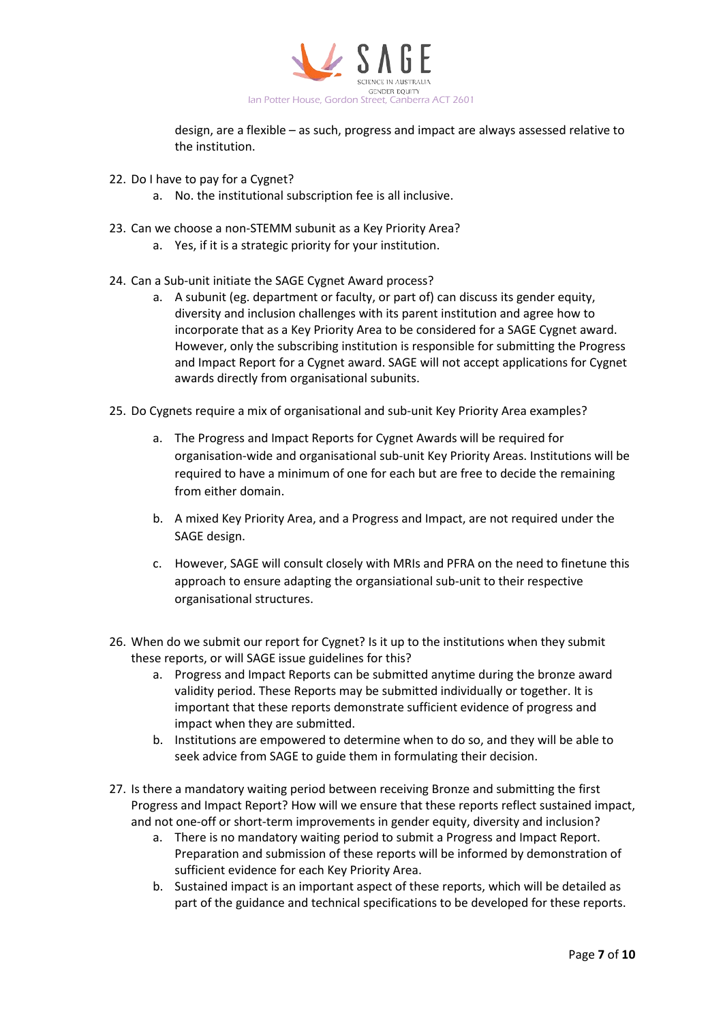

design, are a flexible – as such, progress and impact are always assessed relative to the institution.

- 22. Do I have to pay for a Cygnet?
	- a. No. the institutional subscription fee is all inclusive.
- 23. Can we choose a non-STEMM subunit as a Key Priority Area?
	- a. Yes, if it is a strategic priority for your institution.
- 24. Can a Sub-unit initiate the SAGE Cygnet Award process?
	- a. A subunit (eg. department or faculty, or part of) can discuss its gender equity, diversity and inclusion challenges with its parent institution and agree how to incorporate that as a Key Priority Area to be considered for a SAGE Cygnet award. However, only the subscribing institution is responsible for submitting the Progress and Impact Report for a Cygnet award. SAGE will not accept applications for Cygnet awards directly from organisational subunits.
- 25. Do Cygnets require a mix of organisational and sub-unit Key Priority Area examples?
	- a. The Progress and Impact Reports for Cygnet Awards will be required for organisation-wide and organisational sub-unit Key Priority Areas. Institutions will be required to have a minimum of one for each but are free to decide the remaining from either domain.
	- b. A mixed Key Priority Area, and a Progress and Impact, are not required under the SAGE design.
	- c. However, SAGE will consult closely with MRIs and PFRA on the need to finetune this approach to ensure adapting the organsiational sub-unit to their respective organisational structures.
- 26. When do we submit our report for Cygnet? Is it up to the institutions when they submit these reports, or will SAGE issue guidelines for this?
	- a. Progress and Impact Reports can be submitted anytime during the bronze award validity period. These Reports may be submitted individually or together. It is important that these reports demonstrate sufficient evidence of progress and impact when they are submitted.
	- b. Institutions are empowered to determine when to do so, and they will be able to seek advice from SAGE to guide them in formulating their decision.
- 27. Is there a mandatory waiting period between receiving Bronze and submitting the first Progress and Impact Report? How will we ensure that these reports reflect sustained impact, and not one-off or short-term improvements in gender equity, diversity and inclusion?
	- a. There is no mandatory waiting period to submit a Progress and Impact Report. Preparation and submission of these reports will be informed by demonstration of sufficient evidence for each Key Priority Area.
	- b. Sustained impact is an important aspect of these reports, which will be detailed as part of the guidance and technical specifications to be developed for these reports.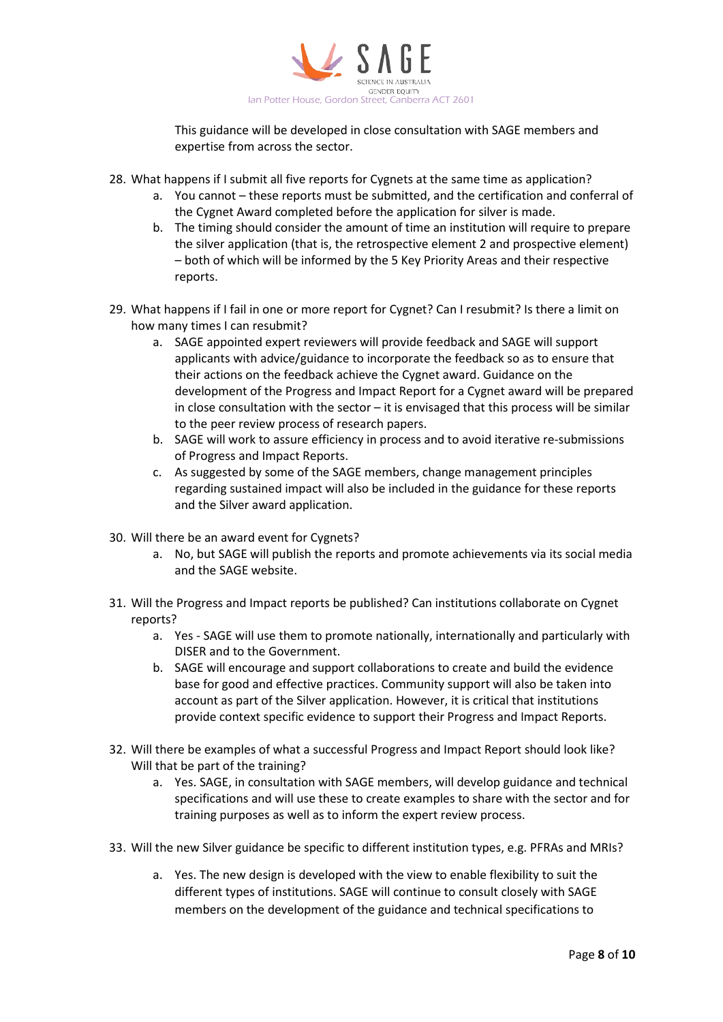

This guidance will be developed in close consultation with SAGE members and expertise from across the sector.

- 28. What happens if I submit all five reports for Cygnets at the same time as application?
	- a. You cannot these reports must be submitted, and the certification and conferral of the Cygnet Award completed before the application for silver is made.
	- b. The timing should consider the amount of time an institution will require to prepare the silver application (that is, the retrospective element 2 and prospective element) – both of which will be informed by the 5 Key Priority Areas and their respective reports.
- 29. What happens if I fail in one or more report for Cygnet? Can I resubmit? Is there a limit on how many times I can resubmit?
	- a. SAGE appointed expert reviewers will provide feedback and SAGE will support applicants with advice/guidance to incorporate the feedback so as to ensure that their actions on the feedback achieve the Cygnet award. Guidance on the development of the Progress and Impact Report for a Cygnet award will be prepared in close consultation with the sector  $-$  it is envisaged that this process will be similar to the peer review process of research papers.
	- b. SAGE will work to assure efficiency in process and to avoid iterative re-submissions of Progress and Impact Reports.
	- c. As suggested by some of the SAGE members, change management principles regarding sustained impact will also be included in the guidance for these reports and the Silver award application.
- 30. Will there be an award event for Cygnets?
	- a. No, but SAGE will publish the reports and promote achievements via its social media and the SAGE website.
- 31. Will the Progress and Impact reports be published? Can institutions collaborate on Cygnet reports?
	- a. Yes SAGE will use them to promote nationally, internationally and particularly with DISER and to the Government.
	- b. SAGE will encourage and support collaborations to create and build the evidence base for good and effective practices. Community support will also be taken into account as part of the Silver application. However, it is critical that institutions provide context specific evidence to support their Progress and Impact Reports.
- 32. Will there be examples of what a successful Progress and Impact Report should look like? Will that be part of the training?
	- a. Yes. SAGE, in consultation with SAGE members, will develop guidance and technical specifications and will use these to create examples to share with the sector and for training purposes as well as to inform the expert review process.
- 33. Will the new Silver guidance be specific to different institution types, e.g. PFRAs and MRIs?
	- a. Yes. The new design is developed with the view to enable flexibility to suit the different types of institutions. SAGE will continue to consult closely with SAGE members on the development of the guidance and technical specifications to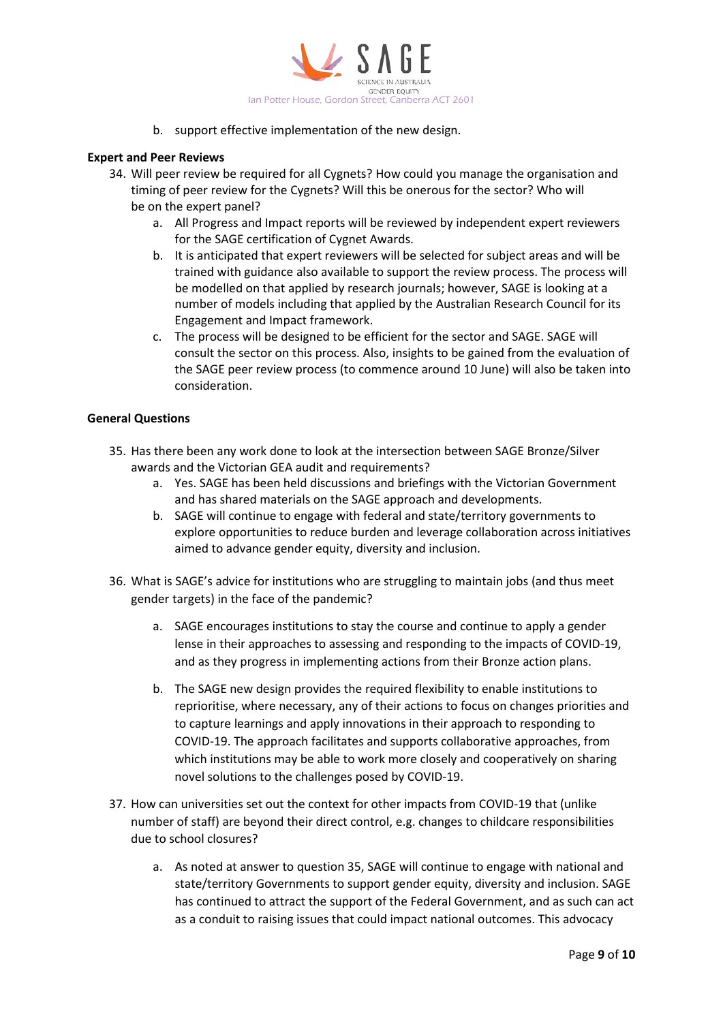

b. support effective implementation of the new design.

## **Expert and Peer Reviews**

- 34. Will peer review be required for all Cygnets? How could you manage the organisation and timing of peer review for the Cygnets? Will this be onerous for the sector? Who will be on the expert panel?
	- a. All Progress and Impact reports will be reviewed by independent expert reviewers for the SAGE certification of Cygnet Awards.
	- b. It is anticipated that expert reviewers will be selected for subject areas and will be trained with guidance also available to support the review process. The process will be modelled on that applied by research journals; however, SAGE is looking at a number of models including that applied by the Australian Research Council for its Engagement and Impact framework.
	- c. The process will be designed to be efficient for the sector and SAGE. SAGE will consult the sector on this process. Also, insights to be gained from the evaluation of the SAGE peer review process (to commence around 10 June) will also be taken into consideration.

## **General Questions**

- 35. Has there been any work done to look at the intersection between SAGE Bronze/Silver awards and the Victorian GEA audit and requirements?
	- a. Yes. SAGE has been held discussions and briefings with the Victorian Government and has shared materials on the SAGE approach and developments.
	- b. SAGE will continue to engage with federal and state/territory governments to explore opportunities to reduce burden and leverage collaboration across initiatives aimed to advance gender equity, diversity and inclusion.
- 36. What is SAGE's advice for institutions who are struggling to maintain jobs (and thus meet gender targets) in the face of the pandemic?
	- a. SAGE encourages institutions to stay the course and continue to apply a gender lense in their approaches to assessing and responding to the impacts of COVID-19, and as they progress in implementing actions from their Bronze action plans.
	- b. The SAGE new design provides the required flexibility to enable institutions to reprioritise, where necessary, any of their actions to focus on changes priorities and to capture learnings and apply innovations in their approach to responding to COVID-19. The approach facilitates and supports collaborative approaches, from which institutions may be able to work more closely and cooperatively on sharing novel solutions to the challenges posed by COVID-19.
- 37. How can universities set out the context for other impacts from COVID-19 that (unlike number of staff) are beyond their direct control, e.g. changes to childcare responsibilities due to school closures?
	- a. As noted at answer to question 35, SAGE will continue to engage with national and state/territory Governments to support gender equity, diversity and inclusion. SAGE has continued to attract the support of the Federal Government, and as such can act as a conduit to raising issues that could impact national outcomes. This advocacy